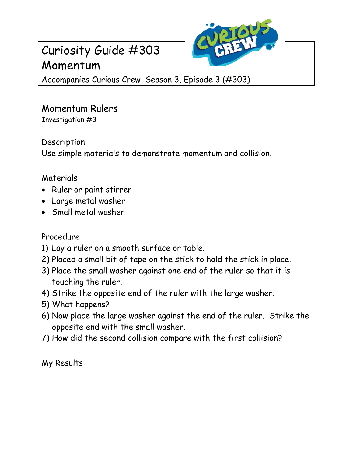## Curiosity Guide #303 Momentum



Accompanies Curious Crew, Season 3, Episode 3 (#303)

# Momentum Rulers

Investigation #3

### Description

Use simple materials to demonstrate momentum and collision.

### Materials

- Ruler or paint stirrer
- Large metal washer
- Small metal washer

#### Procedure

- 1) Lay a ruler on a smooth surface or table.
- 2) Placed a small bit of tape on the stick to hold the stick in place.
- 3) Place the small washer against one end of the ruler so that it is touching the ruler.
- 4) Strike the opposite end of the ruler with the large washer.
- 5) What happens?
- 6) Now place the large washer against the end of the ruler. Strike the opposite end with the small washer.
- 7) How did the second collision compare with the first collision?

My Results